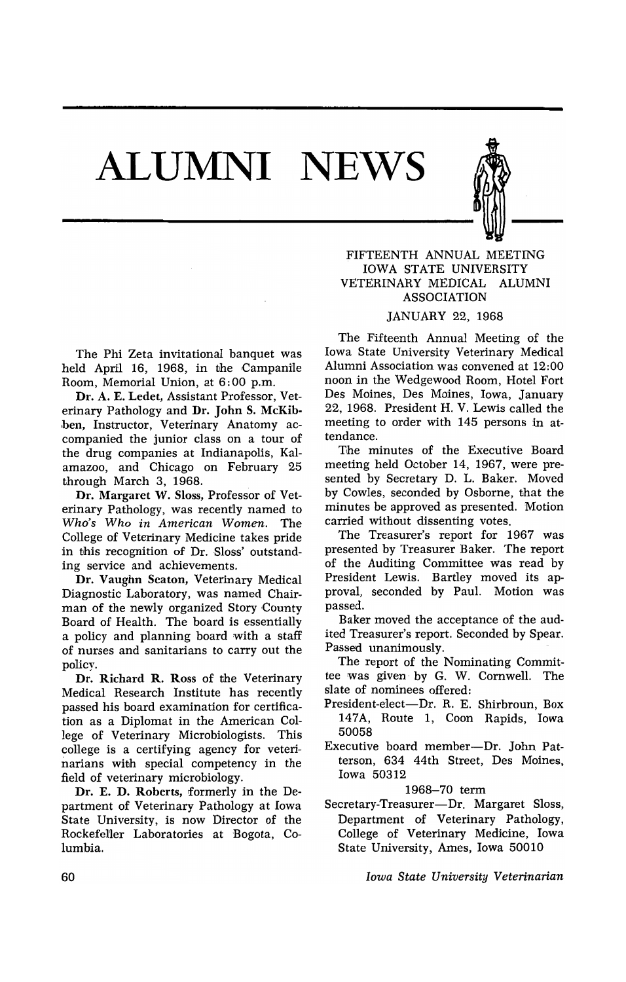## **ALUMNI NEWS**



FIFTEENTH ANNUAL MEETING IOWA STATE UNIVERSITY VETERINARY MEDICAL ALUMNI ASSOCIATION

## JANUARY 22, 1968

The Phi Zeta invitational banquet was held April 16, 1968, in the Campanile Room, Memorial Union, at 6: 00 p.m.

Dr. A. E. Ledet, Assistant Professor, Veterinary Pathology and Dr. John S. McKib ben, Instructor, Veterinary Anatomy accompanied the junior class on a tour of the drug companies at Indianapolis, Kalamazoo, and Chicago on February 25 through March 3, 1968.

Dr. Margaret W. Sloss, Professor of Veterinary Pathology, was recently named to *Who's Who in American Women.* The College of Veterinary Medicine takes pride in this recognition of Dr. Sloss' outstanding service and achievements.

Dr. Vaughn Seaton, Veterinary Medical Diagnostic Laboratory, was named Chairman of the newly organized Story County Board of Health. The board is essentially a policy and planning board with a staff of nurses and sanitarians to carry out the policy.

Dr. Richard R. Ross of the Veterinary Medical Research Institute has recently passed his board examination for certification as a Diplomat in the American College of Veterinary Microbiologists. This college is a certifying agency for veterinarians with special competency in the field of veterinary microbiology.

Dr. E. D. Roberts, formerly in the Department of Veterinary Pathology at Iowa State University, is now Director of the Rockefel1er Laboratories at Bogota, Columbia.

The Fifteenth Annual Meeting of the Iowa State University Veterinary Medical Alumni Association was convened at 12:00 noon in the Wedgewood Room, Hotel Fort Des Moines, Des Moines, Iowa, January 22, 1968. President H. V. Lewis called the meeting to order with 145 persons in attendance.

The minutes of the Executive Board meeting held October 14, 1967, were presented by Secretary D. L. Baker. Moved by Cowles, seconded by Osborne, that the minutes be approved as presented. Motion carried without dissenting votes.

The Treasurer's report for 1967 was presented by Treasurer Baker. The report of the Auditing Committee was read by President Lewis. Bartley moved its approval, seconded by Paul. Motion was passed.

Baker moved the acceptance of the audited Treasurer's report. Seconded by Spear. Passed. unanimously.

The report of the Nominating Committee was given' by G. W. Cornwell. The slate of nominees offered:

- President-elect-Dr. R. E. Shirbroun, Box 147A, Route 1, Coon Rapids, Iowa 50058
- Executive board member-Dr. John Patterson, 634 44th Street, Des Moines, Iowa 50312

1968-70 term

Secretary-Treasurer-Dr. Margaret Sloss, Department of Veterinary Pathology, College of Veterinary Medicine, Iowa State University, Ames, Iowa 50010

*Iowa State University Veterinarian*